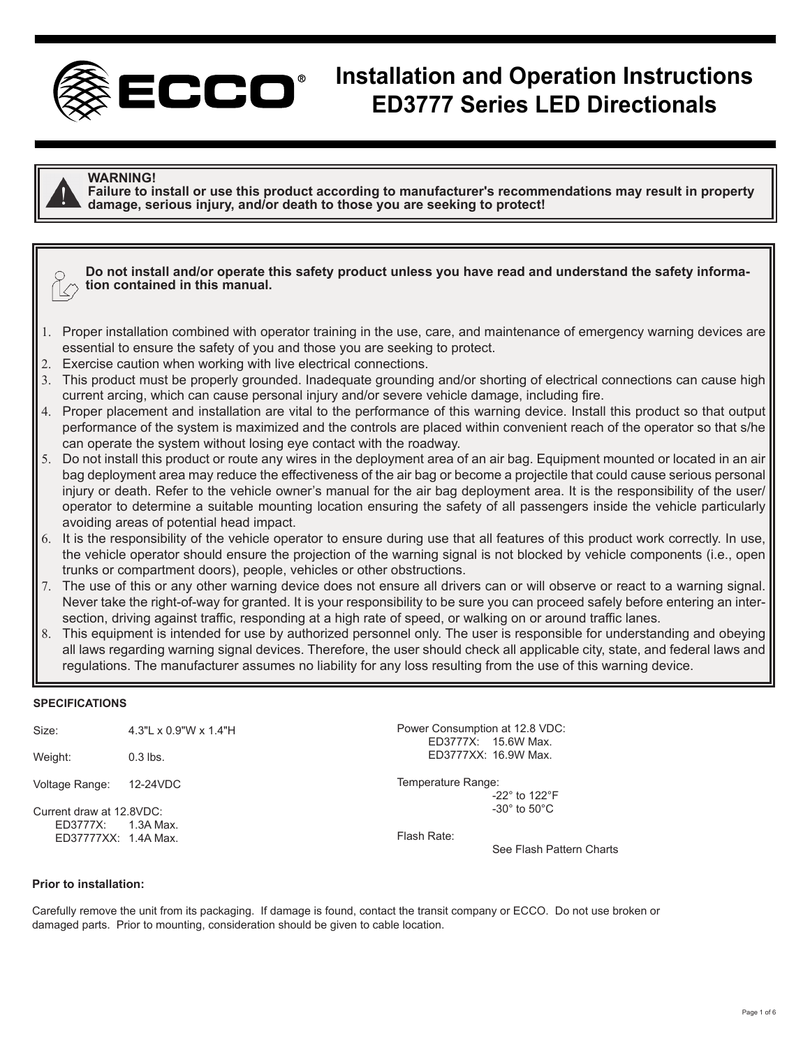

# **Installation and Operation Instructions ED3777 Series LED Directionals**



#### **WARNING!**

**Failure to install or use this product according to manufacturer's recommendations may result in property damage, serious injury, and/or death to those you are seeking to protect!**

# **Do not install and/or operate this safety product unless you have read and understand the safety informa- tion contained in this manual.**

- 1. Proper installation combined with operator training in the use, care, and maintenance of emergency warning devices are essential to ensure the safety of you and those you are seeking to protect.
- 2. Exercise caution when working with live electrical connections.
- 3. This product must be properly grounded. Inadequate grounding and/or shorting of electrical connections can cause high current arcing, which can cause personal injury and/or severe vehicle damage, including fire.
- 4. Proper placement and installation are vital to the performance of this warning device. Install this product so that output performance of the system is maximized and the controls are placed within convenient reach of the operator so that s/he can operate the system without losing eye contact with the roadway.
- 5. Do not install this product or route any wires in the deployment area of an air bag. Equipment mounted or located in an air bag deployment area may reduce the effectiveness of the air bag or become a projectile that could cause serious personal injury or death. Refer to the vehicle owner's manual for the air bag deployment area. It is the responsibility of the user/ operator to determine a suitable mounting location ensuring the safety of all passengers inside the vehicle particularly avoiding areas of potential head impact.
- 6. It is the responsibility of the vehicle operator to ensure during use that all features of this product work correctly. In use, the vehicle operator should ensure the projection of the warning signal is not blocked by vehicle components (i.e., open trunks or compartment doors), people, vehicles or other obstructions.
- 7. The use of this or any other warning device does not ensure all drivers can or will observe or react to a warning signal. Never take the right-of-way for granted. It is your responsibility to be sure you can proceed safely before entering an intersection, driving against traffic, responding at a high rate of speed, or walking on or around traffic lanes.
- 8. This equipment is intended for use by authorized personnel only. The user is responsible for understanding and obeying all laws regarding warning signal devices. Therefore, the user should check all applicable city, state, and federal laws and regulations. The manufacturer assumes no liability for any loss resulting from the use of this warning device.

#### **SPECIFICATIONS**

Size: 4.3"L x 0.9"W x 1.4"H

Weight: 0.3 lbs.

Voltage Range: 12-24VDC

Current draw at 12.8VDC: ED3777X: 1.3A Max. ED37777XX: 1.4A Max. Power Consumption at 12.8 VDC: ED3777X: 15.6W Max. ED3777XX: 16.9W Max.

Temperature Range: -22° to 122°F -30° to 50°C

Flash Rate:

See Flash Pattern Charts

#### **Prior to installation:**

Carefully remove the unit from its packaging. If damage is found, contact the transit company or ECCO. Do not use broken or damaged parts. Prior to mounting, consideration should be given to cable location.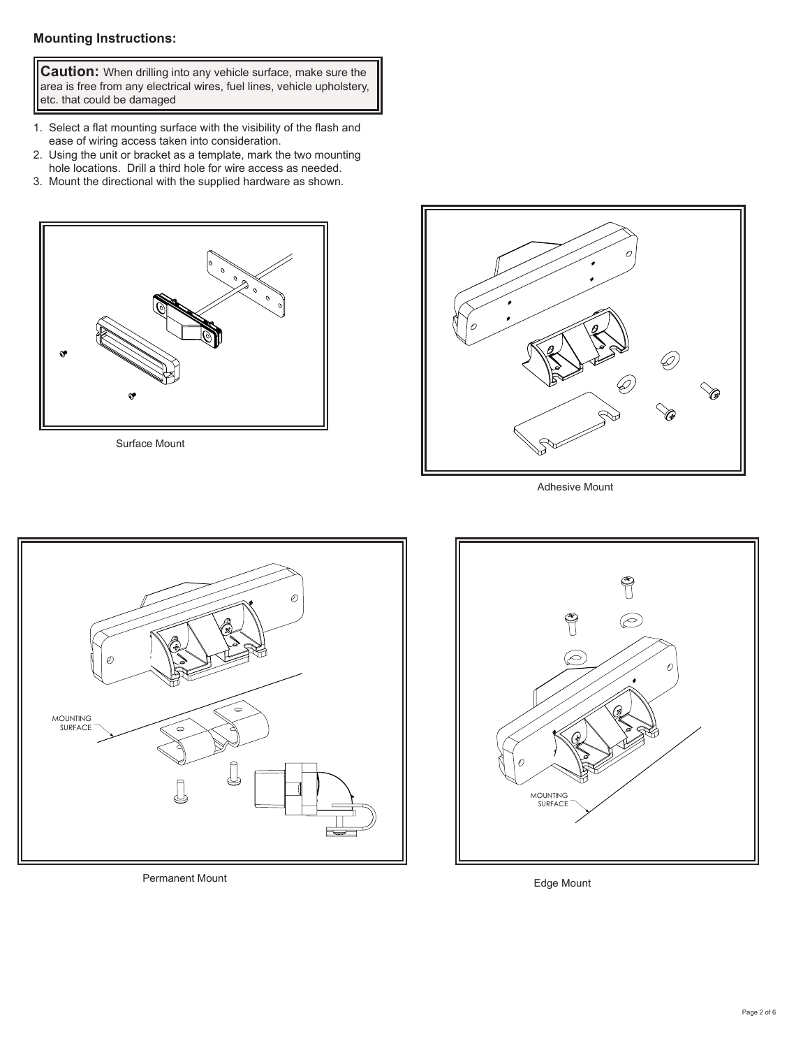# **Mounting Instructions:**

**Caution:** When drilling into any vehicle surface, make sure the area is free from any electrical wires, fuel lines, vehicle upholstery, etc. that could be damaged

- 1. Select a flat mounting surface with the visibility of the flash and ease of wiring access taken into consideration.
- 2. Using the unit or bracket as a template, mark the two mounting hole locations. Drill a third hole for wire access as needed.
- 3. Mount the directional with the supplied hardware as shown.



Surface Mount



Adhesive Mount



Permanent Mount **Edge Mount** 

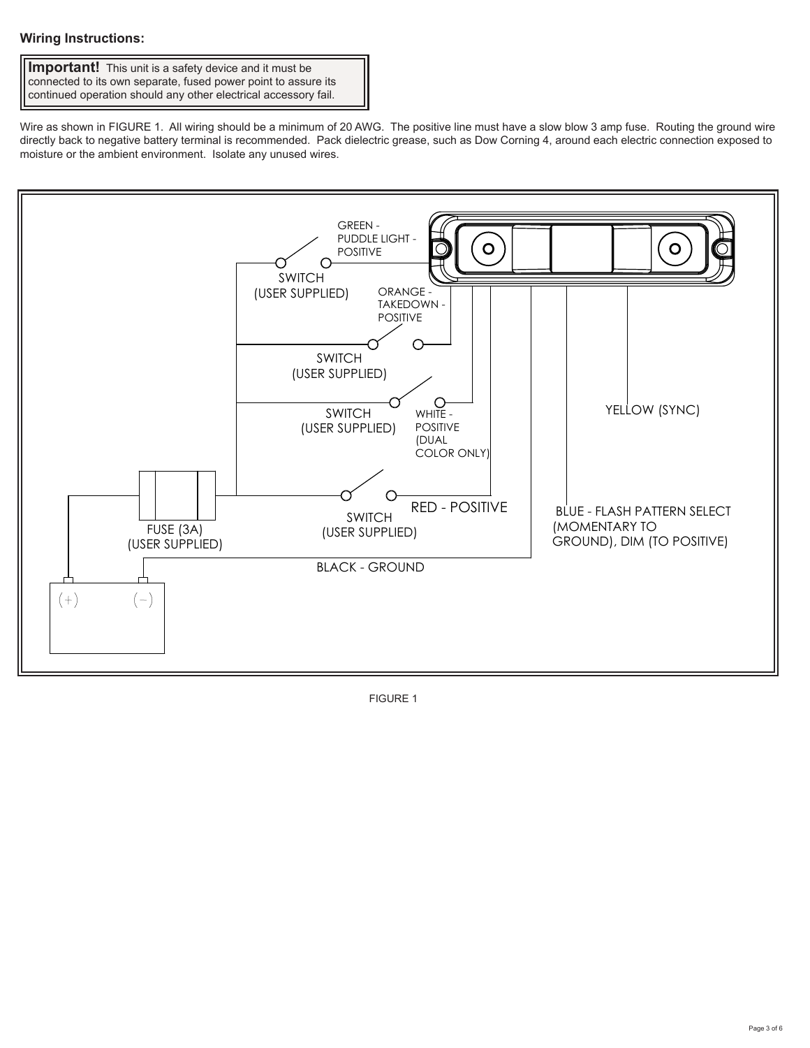# **Wiring Instructions:**

**Important!** This unit is a safety device and it must be connected to its own separate, fused power point to assure its continued operation should any other electrical accessory fail.

Wire as shown in FIGURE 1. All wiring should be a minimum of 20 AWG. The positive line must have a slow blow 3 amp fuse. Routing the ground wire directly back to negative battery terminal is recommended. Pack dielectric grease, such as Dow Corning 4, around each electric connection exposed to moisture or the ambient environment. Isolate any unused wires.



FIGURE 1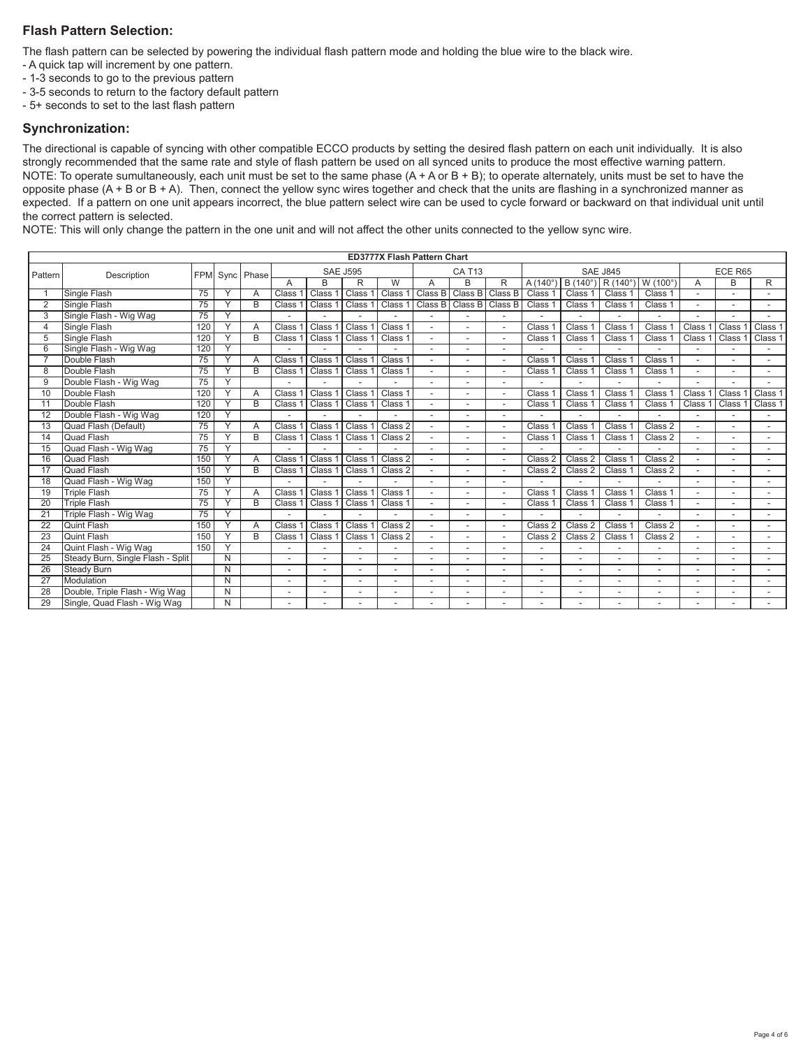# **Flash Pattern Selection:**

The flash pattern can be selected by powering the individual flash pattern mode and holding the blue wire to the black wire.

- A quick tap will increment by one pattern.
- 1-3 seconds to go to the previous pattern
- 3-5 seconds to return to the factory default pattern
- 5+ seconds to set to the last flash pattern

#### **Synchronization:**

The directional is capable of syncing with other compatible ECCO products by setting the desired flash pattern on each unit individually. It is also strongly recommended that the same rate and style of flash pattern be used on all synced units to produce the most effective warning pattern. NOTE: To operate sumultaneously, each unit must be set to the same phase (A + A or B + B); to operate alternately, units must be set to have the opposite phase  $(A + B$  or  $B + A)$ . Then, connect the yellow sync wires together and check that the units are flashing in a synchronized manner as expected. If a pattern on one unit appears incorrect, the blue pattern select wire can be used to cycle forward or backward on that individual unit until the correct pattern is selected.

NOTE: This will only change the pattern in the one unit and will not affect the other units connected to the yellow sync wire.

|                 | <b>ED3777X Flash Pattern Chart</b> |     |              |                |                    |                    |                    |                    |               |         |                          |                    |                           |                    |              |                |       |         |
|-----------------|------------------------------------|-----|--------------|----------------|--------------------|--------------------|--------------------|--------------------|---------------|---------|--------------------------|--------------------|---------------------------|--------------------|--------------|----------------|-------|---------|
| Pattern         | Description                        |     |              | FPM Sync Phase | <b>SAE J595</b>    |                    |                    |                    | <b>CA T13</b> |         |                          | <b>SAE J845</b>    | ECE R65                   |                    |              |                |       |         |
|                 |                                    |     |              |                |                    | B                  | R                  | $\overline{W}$     | А             | B       | R                        | $A(140^\circ$      | $B(140^{\circ})$ R (140°) |                    | W (100°      | A              | B     | R       |
|                 | <b>Single Flash</b>                | 75  |              | Δ              | Class              | Class              | Class <sup>®</sup> | Class 1            | Class B       | Class B | Class B                  | Class <sub>1</sub> | Class 1                   | Class <sub>1</sub> | Class 1      |                |       |         |
| 2               | Single Flash                       | 75  |              | B              | Class              | Class              | Class              | Class              | Class B       | Class B | Class B                  | Class              | Class 1                   | Class 1            | Class 1      |                |       |         |
| 3               | Single Flash - Wig Wag             | 75  | v            |                |                    |                    |                    |                    |               |         |                          |                    |                           |                    |              |                |       |         |
| 4               | Single Flash                       | 120 |              | Α              | Class              | Class              | <b>Class</b>       | Class <sup>2</sup> |               |         |                          | Class              | Class 1                   | <b>Class</b>       | <b>Class</b> | <b>Class</b>   | Class | Class 1 |
| 5               | Single Flash                       | 120 |              | B              | Class              | Class              | Class              | Class 1            |               |         |                          | Class              | Class 1                   | Class 1            | Class 1      | Class          | Class | Class 1 |
| 6               | Single Flash - Wig Wag             | 120 | v.           |                |                    |                    |                    |                    |               |         |                          |                    |                           |                    |              |                |       |         |
|                 | Double Flash                       | 75  |              | A              | Class              | Class              | Class              | Class 1            |               |         |                          | Class              | Class 1                   | Class              | Class 1      |                |       |         |
| 8               | Double Flash                       | 75  |              | B              | Class              | Class <sup>o</sup> | Class              | Class <sub>1</sub> |               |         |                          | Class              | Class 1                   | Class 1            | Class 1      |                |       |         |
| 9               | Double Flash - Wig Wag             | 75  | $\checkmark$ |                |                    |                    |                    |                    |               |         |                          |                    |                           |                    |              |                |       |         |
| 10              | Double Flash                       | 120 |              | A              | Class              | Class              | Class <sup>®</sup> | Class 1            |               |         | $\overline{\phantom{a}}$ | Class              | Class                     | Class              | Class        | Class          | Class | Class 1 |
| 11              | Double Flash                       | 120 |              | B              | Class              | Class              | Class              | Class 1            |               |         |                          | Class              | Class 1                   | Class 1            | Class 1      | Class          | Class | Class 1 |
| 12              | Double Flash - Wig Wag             | 120 |              |                |                    |                    |                    |                    |               |         |                          |                    |                           |                    |              |                |       |         |
| 13              | Quad Flash (Default)               | 75  | v            | $\overline{A}$ | Class              | Class              | Class <sup>®</sup> | Class 2            |               |         |                          | Class              | Class                     | Class              | Class 2      | $\overline{a}$ |       |         |
| 14              | Quad Flash                         | 75  |              | B              | <b>Class</b>       | Class <sup>2</sup> | Class <sup>1</sup> | Class 2            |               |         |                          | Class <sup>-</sup> | Class 1                   | Class 1            | Class 2      |                |       |         |
| 15              | Quad Flash - Wig Wag               | 75  |              |                |                    |                    |                    |                    |               |         |                          |                    |                           |                    |              |                |       |         |
| 16              | Quad Flash                         | 150 |              | $\overline{A}$ | Class <sup>®</sup> | Class              | Class 1            | Class 2            |               |         |                          | Class 2            | Class 2                   | Class              | Class 2      |                |       |         |
| 17              | Quad Flash                         | 150 |              | B              | Class              | Class <sup>2</sup> | Class <sup>®</sup> | Class 2            |               |         |                          | Class 2            | Class 2                   | Class 1            | Class 2      |                |       |         |
| 18              | Quad Flash - Wig Wag               | 150 |              |                |                    |                    |                    |                    |               |         |                          |                    |                           |                    |              |                |       |         |
| 19              | <b>Triple Flash</b>                | 75  |              | A              | Class              | Class              | Class              | Class 1            |               |         |                          | Class              | Class                     | Class              | Class 1      |                |       |         |
| 20              | <b>Triple Flash</b>                | 75  |              | R              | Class              | Class <sup>1</sup> | Class <sup>1</sup> | Class 1            |               |         |                          | Class <sup></sup>  | Class 1                   | Class 1            | Class 1      |                |       |         |
| 21              | Triple Flash - Wig Wag             | 75  |              |                |                    |                    |                    |                    |               |         |                          |                    |                           |                    |              |                |       |         |
| $\overline{22}$ | <b>Quint Flash</b>                 | 150 | $\checkmark$ | $\Delta$       | <b>Class</b>       | Class              | Class <sup>1</sup> | Class 2            |               |         |                          | Class 2            | Class 2                   | Class              | Class 2      |                |       |         |
| 23              | <b>Quint Flash</b>                 | 150 |              | R              | <b>Class</b>       | Class <sup>®</sup> | Class <sup>®</sup> | Class 2            |               |         |                          | Class 2            | Class 2                   | Class <sup></sup>  | Class 2      |                |       |         |
| 24              | Quint Flash - Wig Wag              | 150 | $\checkmark$ |                |                    |                    |                    |                    |               |         |                          |                    |                           |                    |              |                |       |         |
| 25              | Steady Burn, Single Flash - Split  |     | N            |                |                    |                    |                    | $\overline{a}$     |               |         |                          |                    |                           |                    |              |                |       |         |
| 26              | <b>Steady Burn</b>                 |     | N            |                |                    |                    |                    |                    |               |         |                          |                    |                           |                    |              |                |       |         |
| 27              | Modulation                         |     | N            |                |                    |                    |                    |                    |               |         |                          |                    |                           |                    |              |                |       |         |
| 28              | Double, Triple Flash - Wig Wag     |     | N            |                |                    |                    |                    | $\overline{a}$     |               |         |                          |                    |                           |                    |              |                |       |         |
| 29              | Single, Quad Flash - Wig Wag       |     | N            |                |                    |                    |                    |                    |               |         |                          |                    |                           |                    |              |                |       |         |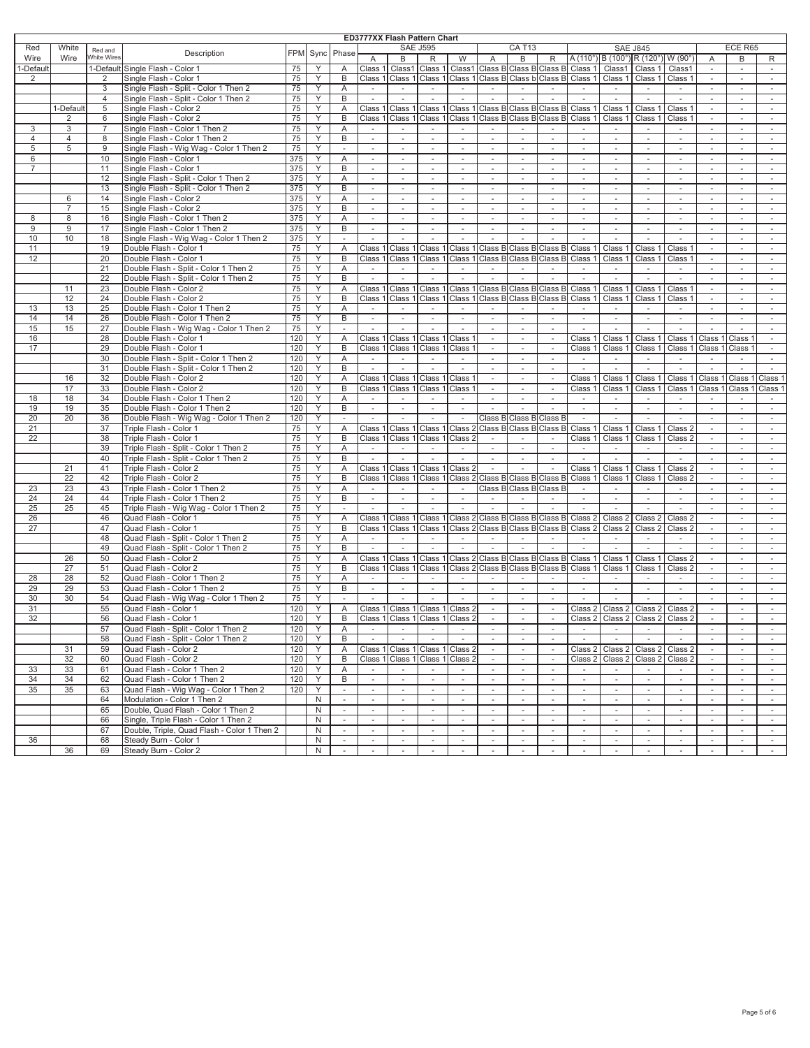#### **ED3777XX Flash Pattern Chart**

|                |                |                    |                                             |            |      |          |                          |                          | ED3777XX Flash Pattern Chart |                                 |                             |                                         |                          |                          |                                    |                          |                          |                          |                          |                          |
|----------------|----------------|--------------------|---------------------------------------------|------------|------|----------|--------------------------|--------------------------|------------------------------|---------------------------------|-----------------------------|-----------------------------------------|--------------------------|--------------------------|------------------------------------|--------------------------|--------------------------|--------------------------|--------------------------|--------------------------|
| Red            | White          | Red and            | Description                                 | <b>FPM</b> | Sync | Phase    |                          |                          | <b>SAE J595</b>              |                                 |                             | <b>CA T13</b>                           |                          |                          |                                    | <b>SAE J845</b>          |                          |                          | ECE R65                  |                          |
| Wire           | Wire           | <b>White Wires</b> |                                             |            |      |          | A                        | B                        | R                            | W                               | $\overline{A}$              | B                                       | R                        |                          | $A(110^{\circ})$ B $(100^{\circ})$ | R (120°) W (90°          |                          | $\overline{A}$           | B                        | R                        |
| 1-Default      |                |                    | 1-Default Single Flash - Color 1            | 75         | Υ    | Α        | Class                    | Class1                   | Class 1                      |                                 |                             | Class1 Class B Class B Class B          |                          | Class 1                  | Class1                             | Class 1                  | Class1                   |                          |                          |                          |
| $\overline{2}$ |                | 2                  | Single Flash - Color 1                      | 75         | Υ    | B        | Class                    | Class 1                  | Class 1                      |                                 |                             | Class 1 Class B Class b                 | Class B                  | Class :                  | Class                              | Class 1                  | Class 1                  | $\sim$                   | ×                        | $\sim$                   |
|                |                | 3                  | Single Flash - Split - Color 1 Then 2       | 75         | Υ    | Α        | $\overline{\phantom{a}}$ | $\overline{\phantom{a}}$ | $\overline{\phantom{a}}$     | $\overline{\phantom{a}}$        | $\overline{\phantom{a}}$    | $\overline{\phantom{a}}$                | $\sim$                   | $\sim$                   | $\sim$                             | $\sim$                   | $\sim$                   |                          | $\sim$                   |                          |
|                |                | $\overline{4}$     | Single Flash - Split - Color 1 Then 2       | 75         | Υ    | B        | $\sim$                   | $\sim$                   | $\sim$                       | $\sim$                          | $\sim$                      | $\sim$                                  | $\sim$                   | $\sim$                   | $\sim$                             | $\sim$                   | ×                        | ×.                       | $\sim$                   | $\sim$                   |
|                | 1-Default      | 5                  | Single Flash - Color 2                      | 75         | Υ    | Α        | Class <sup>o</sup>       | Class 1                  | Class 1                      |                                 |                             | Class 1 Class B Class B Class B         |                          | Class                    | Class                              | Class 1                  | Class 1                  | $\sim$                   | $\sim$                   | $\sim$                   |
|                | $\overline{2}$ | 6                  | Single Flash - Color 2                      | 75         | Y    | B        | Class 1                  | Class 1                  | Class 1                      |                                 |                             | Class 1 Class B Class B Class B         |                          | Class 1                  | Class 1                            | Class 1                  | Class 1                  | ×.                       | ÷.                       | ×.                       |
| 3              | 3              | 7                  | Single Flash - Color 1 Then 2               | 75         | Υ    | Α        | $\sim$                   | $\sim$                   | $\sim$                       | $\sim$                          | $\overline{\phantom{a}}$    | $\overline{\phantom{a}}$                | $\sim$                   | $\sim$                   | $\sim$                             | $\sim$                   | $\sim$                   | $\sim$                   | $\sim$                   | $\sim$                   |
| $\overline{4}$ | 4              | 8                  | Single Flash - Color 1 Then 2               | 75         | Υ    | B        | $\mathcal{L}$            | ÷,                       | ÷.                           |                                 | ÷.                          | ÷.                                      | $\sim$                   | $\sim$                   | ×.                                 |                          | $\sim$                   |                          | ÷.                       | ×                        |
| 5              | 5              | 9                  | Single Flash - Wig Wag - Color 1 Then 2     | 75         | Υ    | $\sim$   | $\overline{\phantom{a}}$ | $\sim$                   | $\overline{\phantom{a}}$     | $\sim$                          | $\overline{\phantom{a}}$    | $\sim$                                  | $\sim$                   | $\sim$                   | $\overline{\phantom{a}}$           | ٠                        |                          |                          | ٠                        | $\sim$                   |
| 6              |                | 10                 | Single Flash - Color 1                      | 375        | Y    | Α        | $\omega$                 | ×.                       | ÷.                           | ×.                              | ×                           | ÷.                                      | $\sim$                   | $\sim$                   | ÷                                  | ×.                       | $\sim$                   | ×.                       | ÷.                       | ×                        |
| $\overline{7}$ |                | 11                 | Single Flash - Color 1                      | 375        | Υ    | B        | ×.                       | ٠                        | $\sim$                       |                                 | ٠                           |                                         | $\sim$                   | ٠                        | $\sim$                             | ٠                        |                          |                          |                          | $\sim$                   |
|                |                |                    |                                             |            |      |          |                          |                          |                              |                                 |                             |                                         |                          |                          |                                    |                          |                          |                          |                          |                          |
|                |                | 12                 | Single Flash - Split - Color 1 Then 2       | 375        | Y    | Α        | $\sim$                   | ×.                       |                              |                                 | ×.                          |                                         | $\sim$                   | ÷                        |                                    |                          |                          |                          |                          | $\sim$                   |
|                |                | 13                 | Single Flash - Split - Color 1 Then 2       | 375        | Y    | B        | $\overline{\phantom{a}}$ | ٠                        | $\overline{\phantom{a}}$     | $\sim$                          | $\overline{\phantom{a}}$    |                                         | $\overline{\phantom{a}}$ | $\overline{\phantom{a}}$ | $\overline{\phantom{a}}$           | $\bar{ }$                |                          |                          | $\blacksquare$           | $\overline{\phantom{a}}$ |
|                | 6              | 14                 | Single Flash - Color 2                      | 375        | Y    | Α        | ÷.                       | ×.                       | ÷.                           |                                 | ×.                          |                                         | ×.                       | $\sim$                   | ×.                                 |                          |                          |                          |                          | $\sim$                   |
|                | 7              | 15                 | Single Flash - Color 2                      | 375        | Υ    | B        | $\overline{\phantom{a}}$ | $\overline{\phantom{a}}$ | $\overline{\phantom{a}}$     | $\overline{\phantom{a}}$        | $\sim$                      | $\overline{\phantom{a}}$                | $\overline{\phantom{a}}$ | $\overline{\phantom{a}}$ | $\sim$                             | $\overline{\phantom{a}}$ | $\overline{\phantom{a}}$ |                          | $\overline{\phantom{m}}$ | $\overline{\phantom{a}}$ |
| 8              | 8              | 16                 | Single Flash - Color 1 Then 2               | 375        | Y    | Α        | ×.                       | ×.                       |                              |                                 | ×.                          |                                         | $\sim$                   | ×.                       | $\sim$                             |                          |                          |                          | $\sim$                   | $\sim$                   |
| 9              | 9              | 17                 | Single Flash - Color 1 Then 2               | 375        | Υ    | B        | $\overline{\phantom{a}}$ | $\sim$                   | $\overline{\phantom{a}}$     | $\overline{\phantom{a}}$        | $\sim$                      | $\sim$                                  | $\sim$                   | $\sim$                   | $\sim$                             | $\overline{\phantom{a}}$ | $\overline{\phantom{a}}$ | $\overline{\phantom{a}}$ | $\overline{\phantom{a}}$ | $\sim$                   |
| 10             | 10             | 18                 | Single Flash - Wig Wag - Color 1 Then 2     | 375        | Y    | $\omega$ | $\sim$                   | ÷.                       | $\sim$                       | ×.                              | ×.                          | ÷.                                      | ×.                       | ÷.                       | ×.                                 | ÷.                       | ×.                       | ÷.                       | $\sim$                   | $\sim$                   |
| 11             |                | 19                 | Double Flash - Color 1                      | 75         | Υ    | Α        | Class                    | Class 1                  | Class 1                      | Class 1                         |                             | Class B Class B                         | Class B                  | Class                    | Class                              | Class 1                  | Class                    | $\overline{\phantom{a}}$ | $\overline{\phantom{a}}$ | $\overline{\phantom{a}}$ |
| 12             |                | 20                 | Double Flash - Color 1                      | 75         | Y    | B        | Class <sup>®</sup>       | Class 1                  | Class 1                      |                                 |                             | Class 1 Class B Class B Class B         |                          | Class 1                  | Class 1                            | Class 1                  | Class 1                  |                          |                          | ×                        |
|                |                | 21                 | Double Flash - Split - Color 1 Then 2       | 75         | Y    | Α        | $\sim$                   | $\sim$                   | $\sim$                       | $\sim$                          | $\sim$                      | $\sim$                                  | $\sim$                   | $\sim$                   | $\sim$                             | $\sim$                   | $\sim$                   | $\overline{\phantom{a}}$ | $\sim$                   | $\overline{\phantom{a}}$ |
|                |                | 22                 | Double Flash - Split - Color 1 Then 2       | 75         | Y    | B        | $\mathcal{L}$            | $\sim$                   | $\sim$                       | $\sim$                          | $\sim$                      | $\omega$                                | $\sim$                   | $\overline{\phantom{a}}$ | $\overline{\phantom{a}}$           | ÷.                       | $\overline{\phantom{a}}$ |                          | $\overline{\phantom{a}}$ | $\overline{\phantom{a}}$ |
|                | 11             | 23                 | Double Flash - Color 2                      | 75         | Υ    | Α        | Class                    | Class 1                  | Class 1                      | Class 1                         |                             | Class B Class B                         | Class B                  | Class                    | Class                              | Class 1                  | Class                    | $\sim$                   | $\overline{\phantom{a}}$ | $\sim$                   |
|                | 12             | 24                 | Double Flash - Color 2                      | 75         | Y    | B        | Class                    | Class 1                  | Class 1                      | Class 1                         |                             | Class B Class B                         | Class B                  | Class                    | Class                              | Class 1                  | Class 1                  |                          | $\overline{\phantom{a}}$ | $\sim$                   |
| 13             | 13             | 25                 | Double Flash - Color 1 Then 2               | 75         | Υ    | Α        | $\sim$                   | $\sim$                   | $\overline{\phantom{a}}$     | $\overline{\phantom{a}}$        | $\overline{\phantom{a}}$    | $\overline{\phantom{a}}$                | $\sim$                   | $\sim$                   | $\sim$                             | $\sim$                   | $\sim$                   | $\sim$                   | $\overline{\phantom{a}}$ | $\sim$                   |
| 14             | 14             | 26                 | Double Flash - Color 1 Then 2               | 75         | Y    | B        | $\sim$                   | $\overline{\phantom{a}}$ | $\overline{\phantom{a}}$     | $\overline{\phantom{a}}$        | $\overline{\phantom{a}}$    | $\overline{\phantom{a}}$                | $\sim$                   | $\sim$                   | $\overline{\phantom{a}}$           | $\sim$                   | $\overline{\phantom{a}}$ | $\overline{\phantom{a}}$ | ×.                       | ×.                       |
| 15             | 15             | 27                 | Double Flash - Wig Wag - Color 1 Then 2     | 75         | Y    | ×.       | $\sim$                   | $\sim$                   | $\sim$                       | $\sim$                          | $\sim$                      | $\sim$                                  | $\sim$                   | $\sim$                   | $\sim$                             | $\sim$                   | ×.                       | ×.                       | $\sim$                   | $\sim$                   |
| 16             |                | 28                 | Double Flash - Color 1                      | 120        | Y    | Α        | Class '                  | Class 1                  | Class 1                      | Class 1                         | $\sim$                      | $\sim$                                  | $\sim$                   | Class 1                  | Class                              | Class 1                  | Class 1                  | Class 1                  | Class                    | $\sim$                   |
| 17             |                | 29                 |                                             | 120        | Y    | B        |                          |                          |                              |                                 | $\sim$                      | $\sim$                                  | $\sim$                   |                          |                                    |                          |                          |                          |                          | ×.                       |
|                |                | 30                 | Double Flash - Color 1                      | 120        |      |          | Class <sup>o</sup>       | Class 1                  | Class 1                      | Class :                         |                             |                                         |                          | Class :                  | Class                              | Class 1                  | Class <sup>o</sup>       | Class                    | Class                    |                          |
|                |                |                    | Double Flash - Split - Color 1 Then 2       |            | Υ    | Α        | $\overline{\phantom{a}}$ | $\overline{\phantom{a}}$ | $\overline{\phantom{a}}$     | $\overline{\phantom{a}}$        | $\sim$                      | $\sim$                                  | $\sim$                   | $\sim$                   | $\overline{\phantom{a}}$           | $\sim$                   | $\overline{\phantom{a}}$ | $\sim$                   | $\sim$                   | $\sim$                   |
|                |                | 31                 | Double Flash - Split - Color 1 Then 2       | 120        | Υ    | B        | $\sim$                   | $\sim$                   | $\sim$                       | $\sim$                          | $\sim$                      | $\sim$                                  | $\sim$                   | $\sim$                   | $\sim$                             | $\sim$                   | ×                        | ×.                       | $\sim$                   | $\sim$                   |
|                | 16             | 32                 | Double Flash - Color 2                      | 120        | Υ    | Α        | Class                    | Class 1                  | Class 1                      | Class <sup>.</sup>              | $\sim$                      | $\sim$                                  | $\sim$                   | Class                    | Class                              | Class 1                  | Class 1                  | Class                    | Class                    | Class                    |
|                | 17             | 33                 | Double Flash - Color 2                      | 120        | Υ    | B        | Class 1                  | Class 1                  | Class 1                      | Class 1                         | $\sim$                      | $\sim$                                  | $\sim$                   | Class :                  | Class                              | Class 1                  | Class <sup>o</sup>       | Class                    | Class                    | Class                    |
| 18             | 18             | 34                 | Double Flash - Color 1 Then 2               | 120        | Υ    | Α        | $\sim$                   | $\sim$                   | $\overline{\phantom{a}}$     | $\sim$                          | $\sim$                      | $\sim$                                  | $\sim$                   | $\sim$                   | $\sim$                             | $\sim$                   | $\sim$                   | $\sim$                   | $\overline{\phantom{a}}$ | $\sim$                   |
| 19             | 19             | 35                 | Double Flash - Color 1 Then 2               | 120        | Y    | B        | $\sim$                   | ÷.                       | ÷.                           | $\sim$                          | ÷.                          | $\overline{a}$                          | $\sim$                   | $\sim$                   | $\sim$                             | $\sim$                   | ×.                       | $\sim$                   | $\overline{a}$           | $\sim$                   |
| 20             | 20             | 36                 | Double Flash - Wig Wag - Color 1 Then 2     | 120        | Υ    | $\sim$   |                          | $\overline{\phantom{a}}$ |                              | $\overline{\phantom{a}}$        |                             | Class B Class B Class B                 |                          | $\sim$                   | $\overline{\phantom{a}}$           |                          |                          |                          | $\sim$                   | $\sim$                   |
| 21             |                | 37                 | Triple Flash - Color 1                      | 75         | Υ    | Α        | Class                    | Class 1                  | Class 1                      | Class                           |                             | Class B Class B                         | Class B                  | Class                    | Class                              | Class 1                  | Class 2                  | ×.                       | ÷.                       | ×.                       |
| 22             |                | 38                 | Triple Flash - Color 1                      | 75         | Υ    | В        | Class                    | Class 1                  | Class 1                      | Class 2                         | $\overline{\phantom{a}}$    | $\sim$                                  | $\sim$                   | Class '                  | Class                              | Class 1                  | Class 2                  |                          | $\blacksquare$           | $\sim$                   |
|                |                | 39                 | Triple Flash - Split - Color 1 Then 2       | 75         | Υ    | Α        | $\overline{a}$           | ×.                       | $\sim$                       |                                 | $\sim$                      | $\sim$                                  | $\sim$                   | $\sim$                   | ×.                                 |                          |                          |                          | ÷.                       | ×                        |
|                |                | 40                 | Triple Flash - Split - Color 1 Then 2       | 75         | Υ    | B        |                          |                          |                              |                                 | $\overline{\phantom{a}}$    |                                         | $\overline{\phantom{a}}$ |                          |                                    |                          |                          |                          | $\blacksquare$           | $\overline{\phantom{a}}$ |
|                | 21             | 41                 | Triple Flash - Color 2                      | 75         | Y    | Α        | Class                    | Class 1                  | Class 1                      | Class                           | $\mathcal{L}_{\mathcal{A}}$ | $\omega$                                | $\sim$                   | Class                    | Class                              | Class 1                  | Class 2                  |                          | ÷.                       | $\sim$                   |
|                | 22             | 42                 | Triple Flash - Color 2                      | 75         | Υ    | B        | Class                    | Class 1                  |                              |                                 |                             | Class 1 Class 2 Class B Class B Class B |                          | Class 1                  | <b>Class</b>                       | Class 1                  | Class 2                  |                          | $\overline{\phantom{m}}$ | $\sim$                   |
| 23             | 23             | 43                 | Triple Flash - Color 1 Then 2               | 75         | Y    | Α        |                          | ×.                       | $\overline{\phantom{a}}$     | $\overline{\phantom{a}}$        |                             | Class B Class B                         | Class B                  |                          | $\overline{\phantom{a}}$           |                          |                          |                          | $\sim$                   | ×                        |
| 24             | 24             | 44                 | Triple Flash - Color 1 Then 2               | 75         | Υ    | B        | $\sim$                   | $\sim$                   | $\sim$                       | $\sim$                          | $\sim$                      |                                         | $\sim$                   | $\overline{\phantom{a}}$ | $\sim$                             |                          | $\sim$                   |                          |                          | $\sim$                   |
| 25             | 25             | 45                 | Triple Flash - Wig Wag - Color 1 Then 2     | 75         | Y    | ×.       | $\sim$                   | $\sim$                   | $\sim$                       | $\sim$                          | ×.                          |                                         | $\sim$                   | ÷.                       | ×.                                 |                          | ×.                       |                          | ×,                       | ×                        |
| 26             |                | 46                 | Quad Flash - Color 1                        | 75         | Υ    | Α        | Class                    | Class 1                  | Class 1                      | Class 2                         |                             | Class B Class B                         | Class B                  | Class 2                  | Class                              | Class 2                  | Class 2                  | $\overline{\phantom{a}}$ | $\overline{\phantom{a}}$ | $\sim$                   |
| 27             |                | 47                 | Quad Flash - Color 1                        | 75         | Y    | B        | Class                    | Class 1                  | Class 1                      | Class 2                         |                             | Class B Class B                         | Class B                  | Class 2                  | Class 2                            | Class 2                  | Class 2                  |                          | $\sim$                   | $\sim$                   |
|                |                | 48                 | Quad Flash - Split - Color 1 Then 2         | 75         | Y    | Α        | $\sim$                   | $\sim$                   | $\sim$                       | $\sim$                          | $\sim$                      | $\sim$                                  | $\sim$                   | $\overline{\phantom{a}}$ | $\sim$                             | $\sim$                   | $\sim$                   | $\sim$                   | $\sim$                   | $\overline{\phantom{a}}$ |
|                |                | 49                 | Quad Flash - Split - Color 1 Then 2         | 75         | Y    | B        | $\sim$                   | $\sim$                   | ÷.                           | ×.                              | ×.                          | ÷.                                      | $\sim$                   | $\sim$                   | $\sim$                             |                          |                          |                          |                          |                          |
|                | 26             | 50                 | Quad Flash - Color 2                        | 75         | Υ    | Α        | Class <sup>®</sup>       | Class 1                  | Class 1                      |                                 |                             | Class 2 Class B Class B Class B         |                          | Class 1                  | Class                              | Class 1                  | Class 2                  | $\overline{\phantom{a}}$ | $\overline{\phantom{a}}$ | $\overline{\phantom{a}}$ |
|                | 27             | 51                 | Quad Flash - Color 2                        | 75         | Y    | B        | Class <sup>®</sup>       | Class 1                  | Class 1                      | Class 2                         |                             | Class B Class B Class B                 |                          | Class 1                  | Class 1                            | Class 1                  | Class 2                  |                          |                          | $\overline{\phantom{a}}$ |
| 28             | 28             | 52                 | Quad Flash - Color 1 Then 2                 | 75         | Υ    | Α        | $\sim$                   | $\sim$                   | $\sim$                       | $\sim$                          | $\overline{\phantom{a}}$    | $\sim$                                  | $\sim$                   | $\sim$                   | $\sim$                             | $\sim$                   | $\sim$                   | $\sim$                   | $\overline{\phantom{a}}$ | $\sim$                   |
| 29             | 29             | 53                 | Quad Flash - Color 1 Then 2                 | 75         | Y    | B        | $\sim$                   | $\overline{\phantom{a}}$ | $\overline{\phantom{a}}$     | $\overline{\phantom{a}}$        | $\overline{\phantom{a}}$    | $\overline{\phantom{a}}$                | $\sim$                   | $\sim$                   | $\sim$                             | $\sim$                   | $\overline{\phantom{a}}$ | $\overline{\phantom{a}}$ | $\overline{\phantom{a}}$ | $\overline{\phantom{a}}$ |
|                |                |                    |                                             |            |      |          |                          |                          |                              |                                 |                             |                                         |                          |                          |                                    |                          |                          |                          |                          |                          |
| 30             | 30             | 54                 | Quad Flash - Wig Wag - Color 1 Then 2       | 75         | Y    | $\sim$   | $\sim$                   | $\sim$                   | $\sim$                       | $\sim$                          | $\sim$                      | $\sim$                                  | $\sim$                   | $\sim$                   | $\sim$                             | $\sim$                   | $\sim$                   | $\sim$                   | $\sim$                   | $\sim$                   |
| 31             |                | 55                 | Quad Flash - Color 1                        | 120        | Y    | Α        | Class <sup>.</sup>       | Class 1                  |                              | Class 1 Class 2                 |                             |                                         | $\overline{\phantom{a}}$ | Class 2                  | Class 2                            | Class 2                  | Class 2                  |                          |                          | $\overline{\phantom{a}}$ |
| 32             |                | 56                 | Quad Flash - Color 1                        | 120        | Y    | B        |                          |                          |                              | Class 1 Class 1 Class 1 Class 2 | $\sim$                      | $\sim$                                  | $\sim$                   | Class 2                  | Class 2                            | Class 2                  | Class 2                  | ÷.                       |                          |                          |
|                |                | 57                 | Quad Flash - Split - Color 1 Then 2         | 120        | Υ    | Α        | $\sim$                   | <b>Contract</b>          | <b>Contract</b>              | <b>Contract</b>                 |                             |                                         |                          | $\sim$                   | $\sim$                             | <b>Contract</b>          | <b>Contract</b>          |                          |                          |                          |
|                |                | 58                 | Quad Flash - Split - Color 1 Then 2         | 120        | Y    | B        | $\overline{\phantom{a}}$ | $\overline{\phantom{a}}$ | $\sim$                       | $\sim$                          |                             |                                         | $\overline{\phantom{a}}$ | $\sim$                   | $\sim$                             | $\sim$                   |                          |                          |                          |                          |
|                | 31             | 59                 | Quad Flash - Color 2                        | 120        | Υ    | Α        | Class 1                  |                          |                              | Class 1 Class 1 Class 2         | $\overline{\phantom{a}}$    | $\overline{\phantom{a}}$                | $\sim$                   | Class 2                  | Class 2                            | Class 2                  | Class 2                  | $\overline{\phantom{a}}$ | $\overline{\phantom{a}}$ |                          |
|                | 32             | 60                 | Quad Flash - Color 2                        | 120        | Y    | B        | Class 1                  | Class 1                  |                              | Class 1 Class 2                 | $\sim$                      | $\sim$                                  | $\blacksquare$           | Class 2                  | Class 2                            | Class 2                  | Class 2                  | ×.                       | $\sim$                   | $\sim$                   |
| 33             | 33             | 61                 | Quad Flash - Color 1 Then 2                 | 120        | Y    | A        | $\sim$                   | $\sim$                   | $\sim$                       | $\sim$                          | $\sim$                      | $\sim$                                  | $\sim$                   | $\sim$                   | $\sim$                             | $\sim$                   | $\sim$                   | $\sim$                   | $\sim$                   | $\overline{\phantom{a}}$ |
| 34             | 34             | 62                 | Quad Flash - Color 1 Then 2                 | 120        | Υ    | B        | $\sim$                   | $\overline{\phantom{a}}$ | $\overline{\phantom{a}}$     | $\overline{\phantom{a}}$        | $\sim$                      | $\overline{\phantom{a}}$                | $\blacksquare$           | $\sim$                   | $\overline{\phantom{a}}$           | $\sim$                   | $\overline{\phantom{a}}$ | $\overline{\phantom{a}}$ | $\overline{\phantom{a}}$ | $\overline{\phantom{a}}$ |
| 35             | 35             | 63                 | Quad Flash - Wig Wag - Color 1 Then 2       | 120        | Y    | $\sim$   | $\sim$                   | $\sim$                   | $\sim$                       | $\sim$                          | $\sim$                      | $\sim$                                  | $\sim$                   | $\sim$                   | $\sim$                             | $\sim$                   | $\sim$                   | $\sim$                   | $\sim$                   | $\sim$                   |
|                |                | 64                 | Modulation - Color 1 Then 2                 |            | N    | $\sim$   | $\sim$                   | $\sim$                   | $\sim$                       | $\sim$                          | $\sim$                      | $\sim$                                  | $\sim$                   | $\sim$                   | $\sim$                             | $\sim$                   | $\sim$                   | $\sim$                   | $\sim$                   | $\sim$                   |
|                |                | 65                 | Double, Quad Flash - Color 1 Then 2         |            | N    | $\sim$   | $\sim$                   | $\sim$                   | $\sim$                       | $\sim$                          | $\sim$                      | $\sim$                                  | $\sim$                   | $\sim$                   | $\sim$                             | $\sim$                   | $\sim$                   | $\sim$                   | $\sim$                   | $\sim$                   |
|                |                | 66                 | Single, Triple Flash - Color 1 Then 2       |            | N    | $\sim$   | $\sim$                   | $\sim$                   | $\sim$                       |                                 |                             | $\sim$                                  |                          |                          | $\sim$                             | $\sim$                   | $\sim$                   | $\overline{\phantom{a}}$ | $\sim$                   |                          |
|                |                | 67                 | Double, Triple, Quad Flash - Color 1 Then 2 |            | N    | $\sim$   | $\sim$                   | $\sim$                   | $\sim$                       | $\sim$<br>$\sim$                | $\sim$<br>$\sim$            | $\sim$                                  | $\sim$<br>$\sim$         | $\sim$<br>$\sim$         | $\sim$                             | $\sim$                   | $\omega$                 | $\sim$                   | $\sim$                   | $\sim$<br>$\sim$         |
|                |                |                    |                                             |            |      |          |                          |                          |                              |                                 |                             |                                         |                          |                          |                                    |                          |                          |                          |                          |                          |
| 36             |                | 68                 | Steady Burn - Color 1                       |            | N    | $\sim$   | $\sim$                   | $\sim$                   | $\sim$                       | $\sim$                          | $\overline{\phantom{a}}$    | $\sim$                                  | $\sim$                   | $\sim$                   | $\sim$                             | $\sim$                   | $\sim$                   | $\overline{\phantom{a}}$ | $\sim$                   | $\sim$                   |
|                | 36             | 69                 | Steady Burn - Color 2                       |            | N    | $\sim$   | $\overline{\phantom{a}}$ | $\overline{\phantom{a}}$ | $\sim$                       | $\overline{\phantom{a}}$        | $\sim$                      | $\overline{\phantom{a}}$                | $\sim$                   | $\sim$                   | $\sim$                             |                          | $\overline{\phantom{a}}$ |                          |                          | $\sim$                   |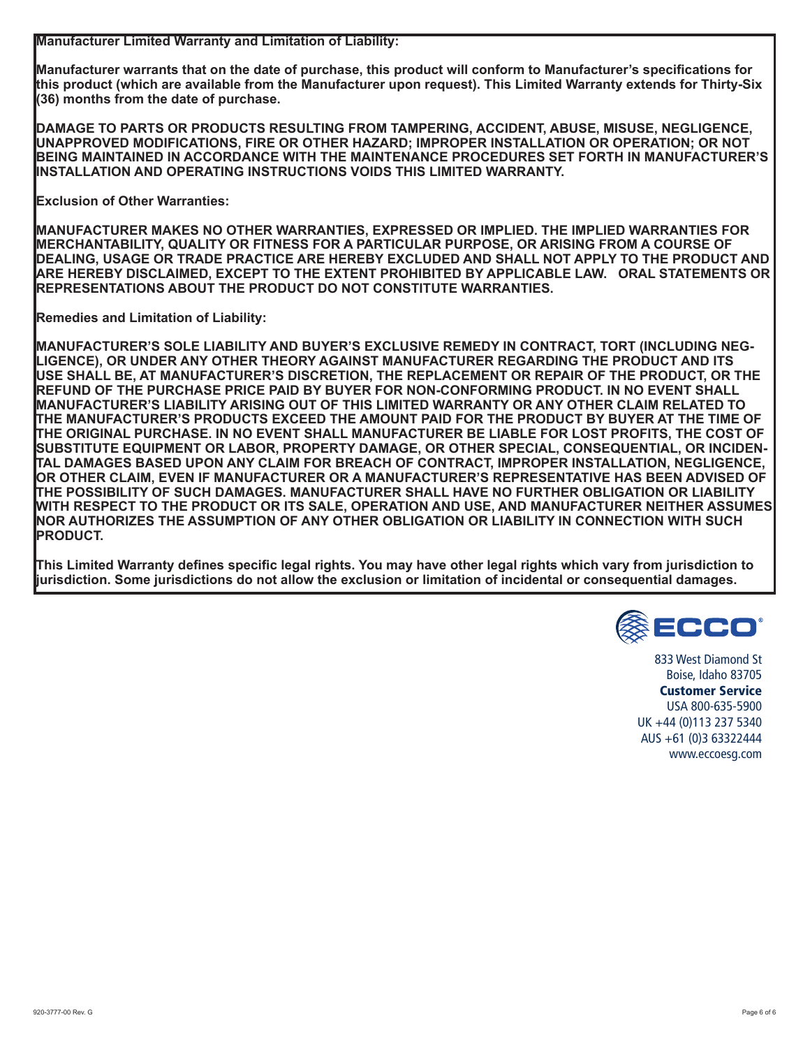**Manufacturer Limited Warranty and Limitation of Liability:**

**Manufacturer warrants that on the date of purchase, this product will conform to Manufacturer's specifications for this product (which are available from the Manufacturer upon request). This Limited Warranty extends for Thirty-Six (36) months from the date of purchase.** 

**DAMAGE TO PARTS OR PRODUCTS RESULTING FROM TAMPERING, ACCIDENT, ABUSE, MISUSE, NEGLIGENCE, UNAPPROVED MODIFICATIONS, FIRE OR OTHER HAZARD; IMPROPER INSTALLATION OR OPERATION; OR NOT BEING MAINTAINED IN ACCORDANCE WITH THE MAINTENANCE PROCEDURES SET FORTH IN MANUFACTURER'S INSTALLATION AND OPERATING INSTRUCTIONS VOIDS THIS LIMITED WARRANTY.**

**Exclusion of Other Warranties:**

**MANUFACTURER MAKES NO OTHER WARRANTIES, EXPRESSED OR IMPLIED. THE IMPLIED WARRANTIES FOR MERCHANTABILITY, QUALITY OR FITNESS FOR A PARTICULAR PURPOSE, OR ARISING FROM A COURSE OF DEALING, USAGE OR TRADE PRACTICE ARE HEREBY EXCLUDED AND SHALL NOT APPLY TO THE PRODUCT AND ARE HEREBY DISCLAIMED, EXCEPT TO THE EXTENT PROHIBITED BY APPLICABLE LAW. ORAL STATEMENTS OR REPRESENTATIONS ABOUT THE PRODUCT DO NOT CONSTITUTE WARRANTIES.**

**Remedies and Limitation of Liability:**

**MANUFACTURER'S SOLE LIABILITY AND BUYER'S EXCLUSIVE REMEDY IN CONTRACT, TORT (INCLUDING NEG-LIGENCE), OR UNDER ANY OTHER THEORY AGAINST MANUFACTURER REGARDING THE PRODUCT AND ITS USE SHALL BE, AT MANUFACTURER'S DISCRETION, THE REPLACEMENT OR REPAIR OF THE PRODUCT, OR THE REFUND OF THE PURCHASE PRICE PAID BY BUYER FOR NON-CONFORMING PRODUCT. IN NO EVENT SHALL MANUFACTURER'S LIABILITY ARISING OUT OF THIS LIMITED WARRANTY OR ANY OTHER CLAIM RELATED TO THE MANUFACTURER'S PRODUCTS EXCEED THE AMOUNT PAID FOR THE PRODUCT BY BUYER AT THE TIME OF THE ORIGINAL PURCHASE. IN NO EVENT SHALL MANUFACTURER BE LIABLE FOR LOST PROFITS, THE COST OF SUBSTITUTE EQUIPMENT OR LABOR, PROPERTY DAMAGE, OR OTHER SPECIAL, CONSEQUENTIAL, OR INCIDEN-TAL DAMAGES BASED UPON ANY CLAIM FOR BREACH OF CONTRACT, IMPROPER INSTALLATION, NEGLIGENCE, OR OTHER CLAIM, EVEN IF MANUFACTURER OR A MANUFACTURER'S REPRESENTATIVE HAS BEEN ADVISED OF THE POSSIBILITY OF SUCH DAMAGES. MANUFACTURER SHALL HAVE NO FURTHER OBLIGATION OR LIABILITY WITH RESPECT TO THE PRODUCT OR ITS SALE, OPERATION AND USE, AND MANUFACTURER NEITHER ASSUMES NOR AUTHORIZES THE ASSUMPTION OF ANY OTHER OBLIGATION OR LIABILITY IN CONNECTION WITH SUCH PRODUCT.**

**This Limited Warranty defines specific legal rights. You may have other legal rights which vary from jurisdiction to jurisdiction. Some jurisdictions do not allow the exclusion or limitation of incidental or consequential damages.**



833 West Diamond St Boise, Idaho 83705 Customer Service USA 800-635-5900 UK +44 (0)113 237 5340 AUS +61 (0)3 63322444 www.eccoesg.com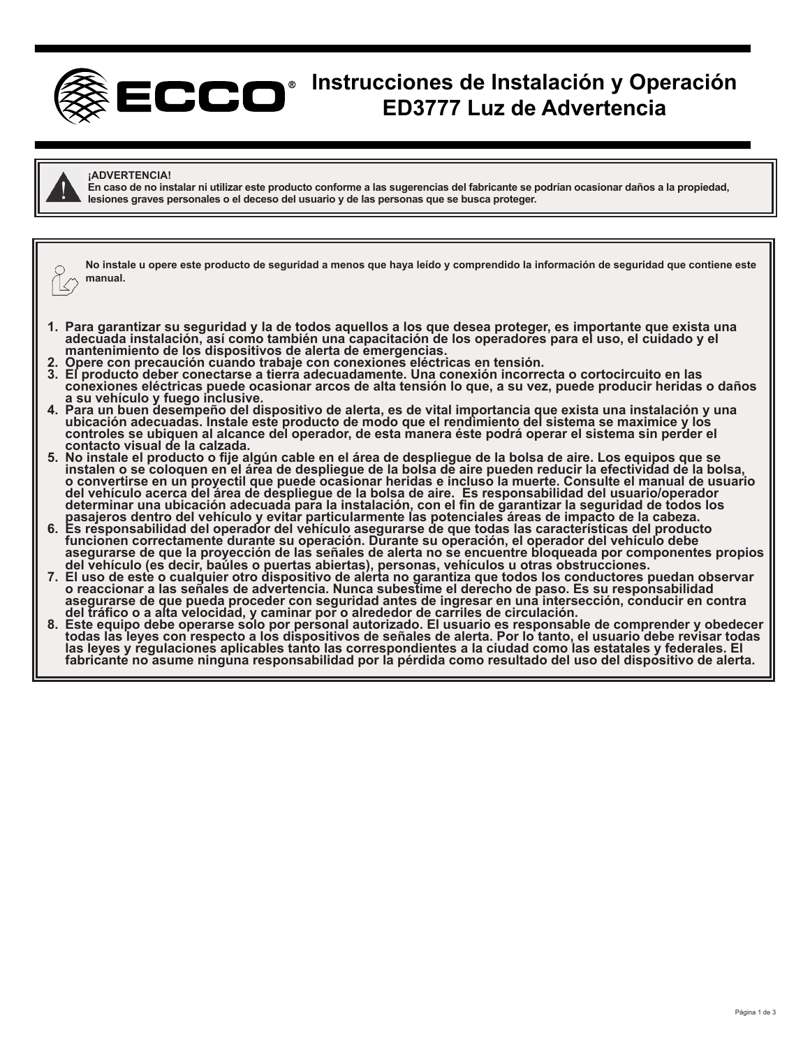

# **Instrucciones de Instalación y Operación ED3777 Luz de Advertencia**



#### **¡ADVERTENCIA!**

**En caso de no instalar ni utilizar este producto conforme a las sugerencias del fabricante se podrían ocasionar daños a la propiedad, lesiones graves personales o el deceso del usuario y de las personas que se busca proteger.**

**No instale u opere este producto de seguridad a menos que haya leído y comprendido la información de seguridad que contiene este manual.**

- **1. Para garantizar su seguridad y la de todos aquellos a los que desea proteger, es importante que exista una**  adecuada instalación, así como también una capacitación de los operadores para el uso, el cuidado y el<br>mantenimiento de los dispositivos de alerta de emergencias.
- 
- 2. Opere con precaución cuando trabaje con conexiones eléctricas en tensión.<br>3. El producto deber conectarse a tierra adecuadamente. Una conexión incorrecta o cortocircuito en las **conexiones eléctricas puede ocasionar arcos de alta tensión lo que, a su vez, puede producir heridas o daños**
- **a su vehículo y fuego inclusive. 4. Para un buen desempeño del dispositivo de alerta, es de vital importancia que exista una instalación y una ubicación adecuadas. Instale este producto de modo que el rendimiento del sistema se maximice y los controles se ubiquen al alcance del operador, de esta manera éste podrá operar el sistema sin perder el contacto visual de la calzada.**
- **5. No instale el producto o fije algún cable en el área de despliegue de la bolsa de aire. Los equipos que se instalen o se coloquen en el área de despliegue de la bolsa de aire pueden reducir la efectividad de la bolsa, o convertirse en un proyectil que puede ocasionar heridas e incluso la muerte. Consulte el manual de usuario del vehículo acerca del área de despliegue de la bolsa de aire. Es responsabilidad del usuario/operador determinar una ubicación adecuada para la instalación, con el fin de garantizar la seguridad de todos los**
- **pasajeros dentro del vehículo y evitar particularmente las potenciales áreas de impacto de la cabeza. 6. Es responsabilidad del operador del vehículo asegurarse de que todas las características del producto funcionen correctamente durante su operación. Durante su operación, el operador del vehículo debe asegurarse de que la proyección de las señales de alerta no se encuentre bloqueada por componentes propios**
- **del vehículo (es decir, baúles o puertas abiertas), personas, vehículos u otras obstrucciones. 7. El uso de este o cualquier otro dispositivo de alerta no garantiza que todos los conductores puedan observar o reaccionar a las señales de advertencia. Nunca subestime el derecho de paso. Es su responsabilidad asegurarse de que pueda proceder con seguridad antes de ingresar en una intersección, conducir en contra**
- **del tráfico o a alta velocidad, y caminar por o alrededor de carriles de circulación. 8. Este equipo debe operarse solo por personal autorizado. El usuario es responsable de comprender y obedecer todas las leyes con respecto a los dispositivos de señales de alerta. Por lo tanto, el usuario debe revisar todas las leyes y regulaciones aplicables tanto las correspondientes a la ciudad como las estatales y federales. El fabricante no asume ninguna responsabilidad por la pérdida como resultado del uso del dispositivo de alerta.**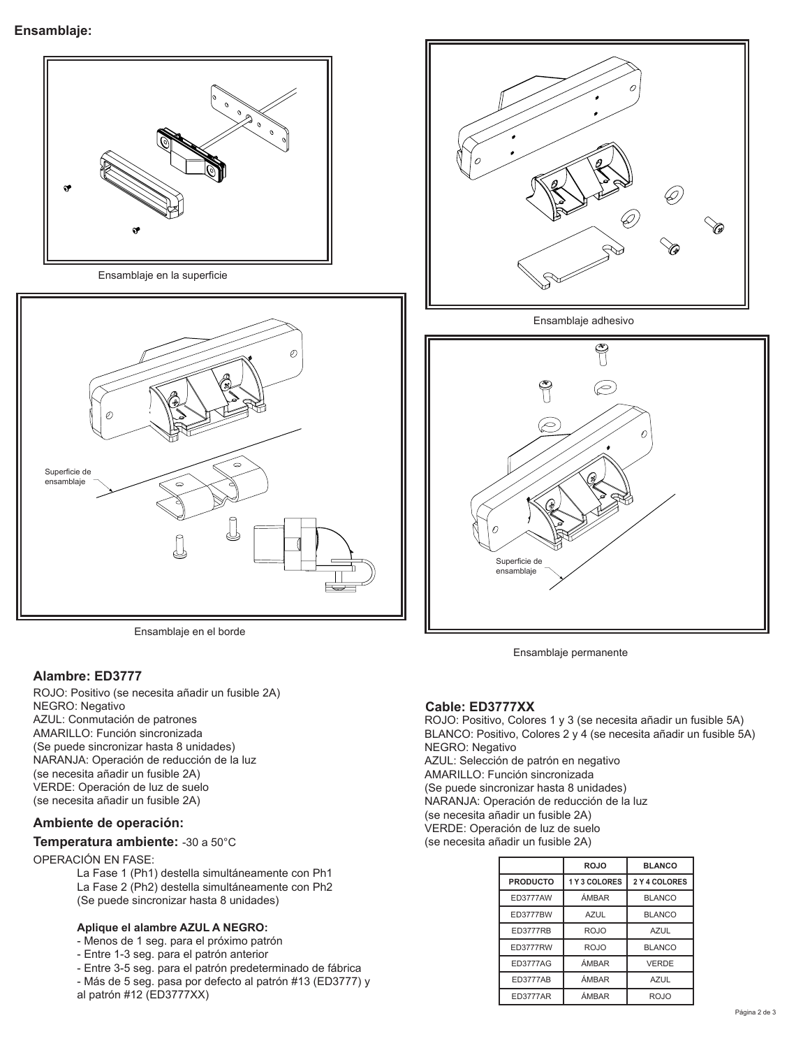

Ensamblaje en el borde

# **Alambre: ED3777**

ROJO: Positivo (se necesita añadir un fusible 2A) NEGRO: Negativo AZUL: Conmutación de patrones AMARILLO: Función sincronizada (Se puede sincronizar hasta 8 unidades) NARANJA: Operación de reducción de la luz (se necesita añadir un fusible 2A) VERDE: Operación de luz de suelo (se necesita añadir un fusible 2A)

# **Ambiente de operación:**

#### **Temperatura ambiente:** -30 a 50°C

#### OPERACIÓN EN FASE:

La Fase 1 (Ph1) destella simultáneamente con Ph1 La Fase 2 (Ph2) destella simultáneamente con Ph2 (Se puede sincronizar hasta 8 unidades)

#### **Aplique el alambre AZUL A NEGRO:**

- Menos de 1 seg. para el próximo patrón
- Entre 1-3 seg. para el patrón anterior
- Entre 3-5 seg. para el patrón predeterminado de fábrica
- Más de 5 seg. pasa por defecto al patrón #13 (ED3777) y al patrón #12 (ED3777XX)



Ensamblaje adhesivo



Ensamblaje permanente

# **Cable: ED3777XX**

ROJO: Positivo, Colores 1 y 3 (se necesita añadir un fusible 5A) BLANCO: Positivo, Colores 2 y 4 (se necesita añadir un fusible 5A) NEGRO: Negativo AZUL: Selección de patrón en negativo AMARILLO: Función sincronizada (Se puede sincronizar hasta 8 unidades) NARANJA: Operación de reducción de la luz (se necesita añadir un fusible 2A) VERDE: Operación de luz de suelo (se necesita añadir un fusible 2A)

|                 | <b>ROJO</b> | <b>BLANCO</b> |  |  |  |  |
|-----------------|-------------|---------------|--|--|--|--|
| <b>PRODUCTO</b> | 1Y3 COLORES | 2 Y 4 COLORES |  |  |  |  |
| <b>ED3777AW</b> | ÁMBAR       | <b>BLANCO</b> |  |  |  |  |
| <b>ED3777BW</b> | <b>AZUL</b> | <b>BLANCO</b> |  |  |  |  |
| <b>ED3777RB</b> | <b>ROJO</b> | <b>AZUL</b>   |  |  |  |  |
| <b>ED3777RW</b> | ROJO        | <b>BLANCO</b> |  |  |  |  |
| <b>ED3777AG</b> | ÁMBAR       | <b>VERDE</b>  |  |  |  |  |
| <b>ED3777AB</b> | ÁMBAR       | <b>AZUL</b>   |  |  |  |  |
| <b>ED3777AR</b> | ÁMBAR       | ROJO          |  |  |  |  |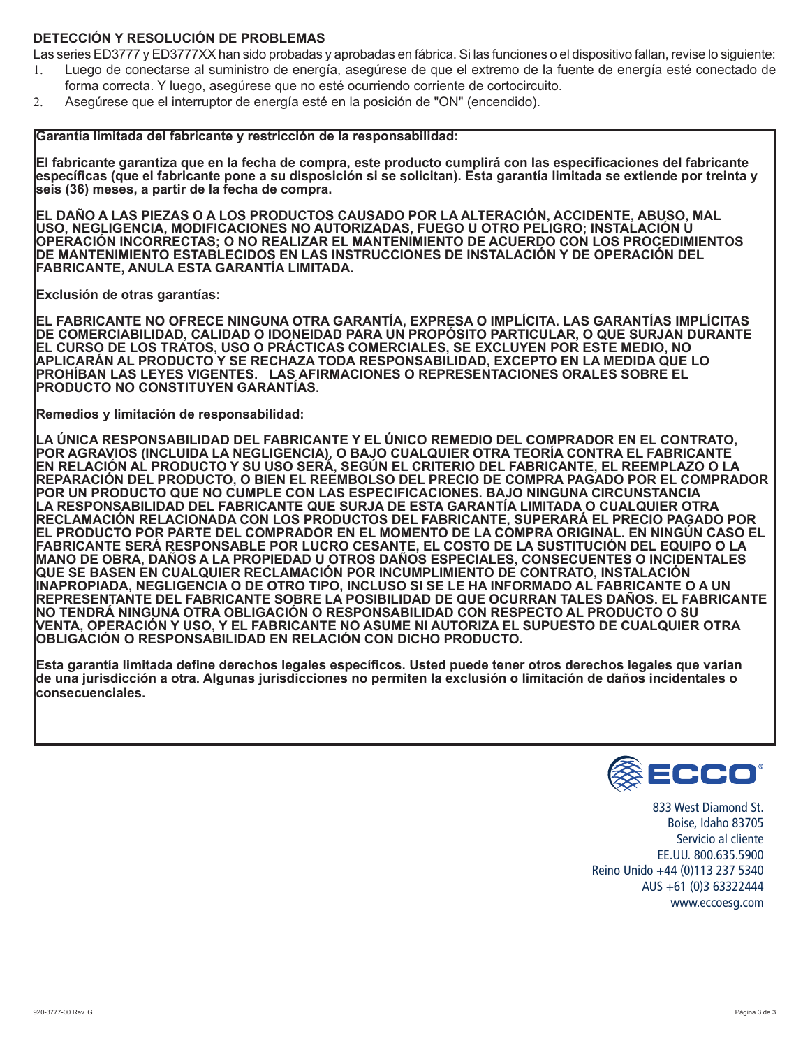# **DETECCIÓN Y RESOLUCIÓN DE PROBLEMAS**

Las series ED3777 y ED3777XX han sido probadas y aprobadas en fábrica. Si las funciones o el dispositivo fallan, revise lo siguiente:

- 1. Luego de conectarse al suministro de energía, asegúrese de que el extremo de la fuente de energía esté conectado de forma correcta. Y luego, asegúrese que no esté ocurriendo corriente de cortocircuito.
- 2. Asegúrese que el interruptor de energía esté en la posición de "ON" (encendido).

#### **Garantía limitada del fabricante y restricción de la responsabilidad:**

**El fabricante garantiza que en la fecha de compra, este producto cumplirá con las especificaciones del fabricante específicas (que el fabricante pone a su disposición si se solicitan). Esta garantía limitada se extiende por treinta y seis (36) meses, a partir de la fecha de compra.** 

**EL DAÑO A LAS PIEZAS O A LOS PRODUCTOS CAUSADO POR LA ALTERACIÓN, ACCIDENTE, ABUSO, MAL USO, NEGLIGENCIA, MODIFICACIONES NO AUTORIZADAS, FUEGO U OTRO PELIGRO; INSTALACIÓN U OPERACIÓN INCORRECTAS; O NO REALIZAR EL MANTENIMIENTO DE ACUERDO CON LOS PROCEDIMIENTOS DE MANTENIMIENTO ESTABLECIDOS EN LAS INSTRUCCIONES DE INSTALACIÓN Y DE OPERACIÓN DEL FABRICANTE, ANULA ESTA GARANTÍA LIMITADA.**

**Exclusión de otras garantías:**

**EL FABRICANTE NO OFRECE NINGUNA OTRA GARANTÍA, EXPRESA O IMPLÍCITA. LAS GARANTÍAS IMPLÍCITAS DE COMERCIABILIDAD, CALIDAD O IDONEIDAD PARA UN PROPÓSITO PARTICULAR, O QUE SURJAN DURANTE EL CURSO DE LOS TRATOS, USO O PRÁCTICAS COMERCIALES, SE EXCLUYEN POR ESTE MEDIO, NO APLICARÁN AL PRODUCTO Y SE RECHAZA TODA RESPONSABILIDAD, EXCEPTO EN LA MEDIDA QUE LO PROHÍBAN LAS LEYES VIGENTES. LAS AFIRMACIONES O REPRESENTACIONES ORALES SOBRE EL PRODUCTO NO CONSTITUYEN GARANTÍAS.**

**Remedios y limitación de responsabilidad:**

**LA ÚNICA RESPONSABILIDAD DEL FABRICANTE Y EL ÚNICO REMEDIO DEL COMPRADOR EN EL CONTRATO, POR AGRAVIOS (INCLUIDA LA NEGLIGENCIA), O BAJO CUALQUIER OTRA TEORÍA CONTRA EL FABRICANTE EN RELACIÓN AL PRODUCTO Y SU USO SERÁ, SEGÚN EL CRITERIO DEL FABRICANTE, EL REEMPLAZO O LA REPARACIÓN DEL PRODUCTO, O BIEN EL REEMBOLSO DEL PRECIO DE COMPRA PAGADO POR EL COMPRADOR POR UN PRODUCTO QUE NO CUMPLE CON LAS ESPECIFICACIONES. BAJO NINGUNA CIRCUNSTANCIA LA RESPONSABILIDAD DEL FABRICANTE QUE SURJA DE ESTA GARANTÍA LIMITADA O CUALQUIER OTRA RECLAMACIÓN RELACIONADA CON LOS PRODUCTOS DEL FABRICANTE, SUPERARÁ EL PRECIO PAGADO POR EL PRODUCTO POR PARTE DEL COMPRADOR EN EL MOMENTO DE LA COMPRA ORIGINAL. EN NINGÚN CASO EL FABRICANTE SERÁ RESPONSABLE POR LUCRO CESANTE, EL COSTO DE LA SUSTITUCIÓN DEL EQUIPO O LA MANO DE OBRA, DAÑOS A LA PROPIEDAD U OTROS DAÑOS ESPECIALES, CONSECUENTES O INCIDENTALES QUE SE BASEN EN CUALQUIER RECLAMACIÓN POR INCUMPLIMIENTO DE CONTRATO, INSTALACIÓN INAPROPIADA, NEGLIGENCIA O DE OTRO TIPO, INCLUSO SI SE LE HA INFORMADO AL FABRICANTE O A UN REPRESENTANTE DEL FABRICANTE SOBRE LA POSIBILIDAD DE QUE OCURRAN TALES DAÑOS. EL FABRICANTE NO TENDRÁ NINGUNA OTRA OBLIGACIÓN O RESPONSABILIDAD CON RESPECTO AL PRODUCTO O SU VENTA, OPERACIÓN Y USO, Y EL FABRICANTE NO ASUME NI AUTORIZA EL SUPUESTO DE CUALQUIER OTRA OBLIGACIÓN O RESPONSABILIDAD EN RELACIÓN CON DICHO PRODUCTO.**

**Esta garantía limitada define derechos legales específicos. Usted puede tener otros derechos legales que varían de una jurisdicción a otra. Algunas jurisdicciones no permiten la exclusión o limitación de daños incidentales o consecuenciales.**



833 West Diamond St. Boise, Idaho 83705 Servicio al cliente EE.UU. 800.635.5900 Reino Unido +44 (0)113 237 5340 AUS +61 (0)3 63322444 www.eccoesg.com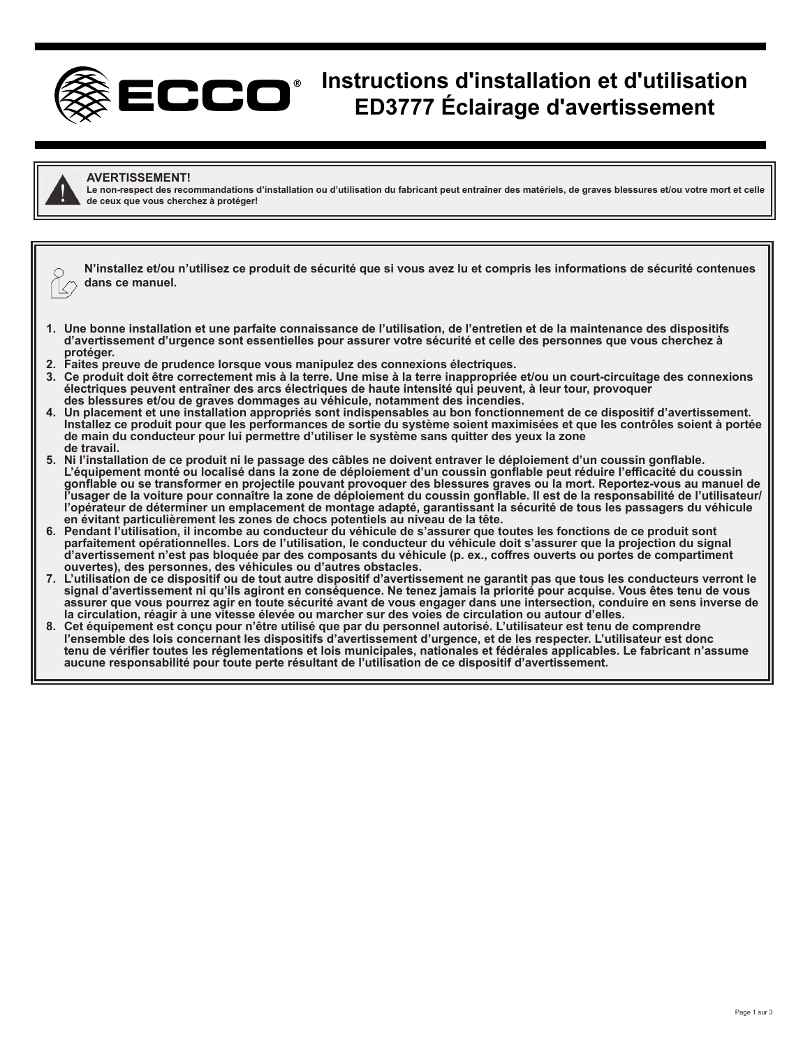

# **Instructions d'installation et d'utilisation ED3777 Éclairage d'avertissement**



#### **AVERTISSEMENT!**

Le non-respect des recommandations d'installation ou d'utilisation du fabricant peut entraîner des matériels, de graves blessures et/ou votre mort et celle **de ceux que vous cherchez à protéger!**

|                          | N'installez et/ou n'utilisez ce produit de sécurité que si vous avez lu et compris les informations de sécurité contenues |
|--------------------------|---------------------------------------------------------------------------------------------------------------------------|
| $\overline{\phantom{a}}$ | $\bigcap_{\mathcal{O}}$ dans ce manuel.                                                                                   |

- **1. Une bonne installation et une parfaite connaissance de l'utilisation, de l'entretien et de la maintenance des dispositifs d'avertissement d'urgence sont essentielles pour assurer votre sécurité et celle des personnes que vous cherchez à protéger.**
- **2. Faites preuve de prudence lorsque vous manipulez des connexions électriques.**
- **3. Ce produit doit être correctement mis à la terre. Une mise à la terre inappropriée et/ou un court-circuitage des connexions électriques peuvent entraîner des arcs électriques de haute intensité qui peuvent, à leur tour, provoquer des blessures et/ou de graves dommages au véhicule, notamment des incendies.**
- **4. Un placement et une installation appropriés sont indispensables au bon fonctionnement de ce dispositif d'avertissement. Installez ce produit pour que les performances de sortie du système soient maximisées et que les contrôles soient à portée de main du conducteur pour lui permettre d'utiliser le système sans quitter des yeux la zone de travail.**
- **5. Ni l'installation de ce produit ni le passage des câbles ne doivent entraver le déploiement d'un coussin gonflable. L'équipement monté ou localisé dans la zone de déploiement d'un coussin gonflable peut réduire l'efficacité du coussin gonflable ou se transformer en projectile pouvant provoquer des blessures graves ou la mort. Reportez-vous au manuel de l'usager de la voiture pour connaître la zone de déploiement du coussin gonflable. Il est de la responsabilité de l'utilisateur/ l'opérateur de déterminer un emplacement de montage adapté, garantissant la sécurité de tous les passagers du véhicule en évitant particulièrement les zones de chocs potentiels au niveau de la tête.**
- **6. Pendant l'utilisation, il incombe au conducteur du véhicule de s'assurer que toutes les fonctions de ce produit sont parfaitement opérationnelles. Lors de l'utilisation, le conducteur du véhicule doit s'assurer que la projection du signal d'avertissement n'est pas bloquée par des composants du véhicule (p. ex., coffres ouverts ou portes de compartiment ouvertes), des personnes, des véhicules ou d'autres obstacles.**
- **7. L'utilisation de ce dispositif ou de tout autre dispositif d'avertissement ne garantit pas que tous les conducteurs verront le**  signal d'avertissement ni qu'ils agiront en conséquence. Ne tenez jamais la priorité pour acquise. Vous êtes tenu de vous **assurer que vous pourrez agir en toute sécurité avant de vous engager dans une intersection, conduire en sens inverse de la circulation, réagir à une vitesse élevée ou marcher sur des voies de circulation ou autour d'elles.**
- **8. Cet équipement est conçu pour n'être utilisé que par du personnel autorisé. L'utilisateur est tenu de comprendre l'ensemble des lois concernant les dispositifs d'avertissement d'urgence, et de les respecter. L'utilisateur est donc tenu de vérifier toutes les réglementations et lois municipales, nationales et fédérales applicables. Le fabricant n'assume aucune responsabilité pour toute perte résultant de l'utilisation de ce dispositif d'avertissement.**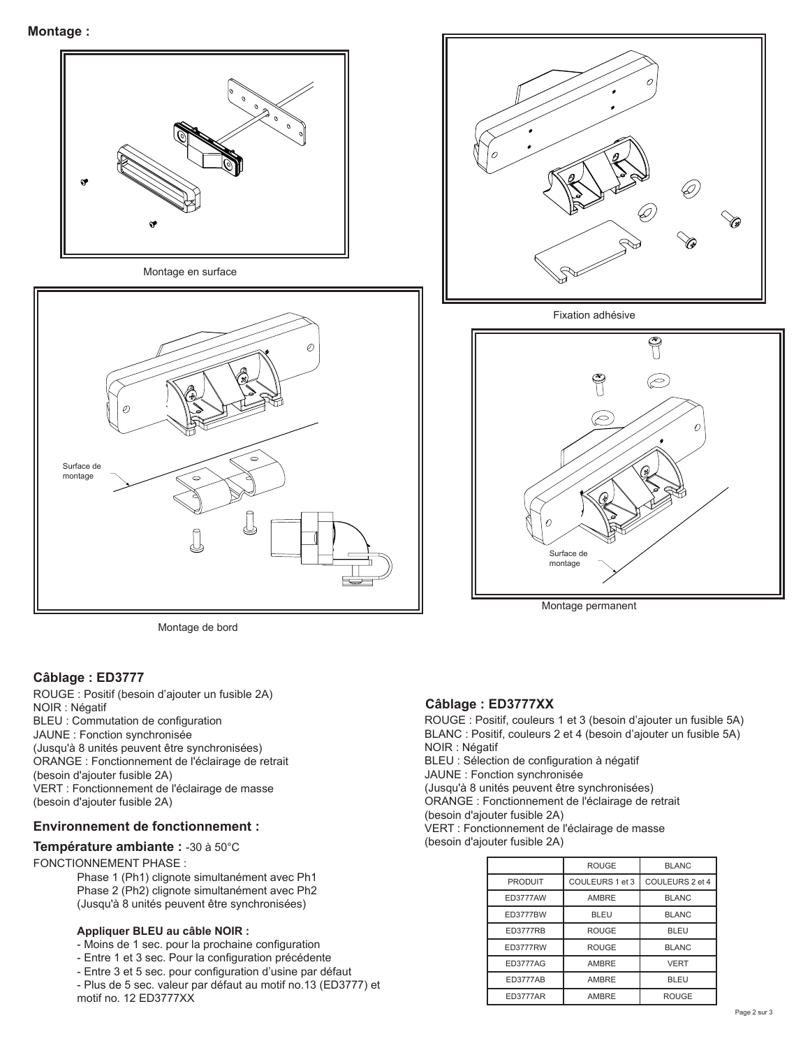

Montage de bord

# **Câblage : ED3777**

ROUGE : Positif (besoin d'ajouter un fusible 2A) NOIR : Négatif BLEU : Commutation de configuration JAUNE : Fonction synchronisée (Jusqu'à 8 unités peuvent être synchronisées) ORANGE : Fonctionnement de l'éclairage de retrait (besoin d'ajouter fusible 2A) VERT : Fonctionnement de l'éclairage de masse (besoin d'ajouter fusible 2A)

# **Environnement de fonctionnement :**

**Température ambiante :** -30 à 50°C

#### FONCTIONNEMENT PHASE :

Phase 1 (Ph1) clignote simultanément avec Ph1 Phase 2 (Ph2) clignote simultanément avec Ph2 (Jusqu'à 8 unités peuvent être synchronisées)

#### **Appliquer BLEU au câble NOIR :**

- Moins de 1 sec. pour la prochaine configuration
- Entre 1 et 3 sec. Pour la configuration précédente
- Entre 3 et 5 sec. pour configuration d'usine par défaut
- Plus de 5 sec. valeur par défaut au motif no.13 (ED3777) et motif no. 12 ED3777XX



Fixation adhésive



Montage permanent

# **Câblage : ED3777XX**

ROUGE : Positif, couleurs 1 et 3 (besoin d'ajouter un fusible 5A) BLANC : Positif, couleurs 2 et 4 (besoin d'ajouter un fusible 5A) NOIR : Négatif BLEU : Sélection de configuration à négatif

JAUNE : Fonction synchronisée

(Jusqu'à 8 unités peuvent être synchronisées)

ORANGE : Fonctionnement de l'éclairage de retrait

(besoin d'ajouter fusible 2A)

VERT : Fonctionnement de l'éclairage de masse

(besoin d'ajouter fusible 2A)

|                 | <b>ROUGE</b>    | <b>BLANC</b>    |  |  |  |  |
|-----------------|-----------------|-----------------|--|--|--|--|
| <b>PRODUIT</b>  | COULEURS 1 et 3 | COULEURS 2 et 4 |  |  |  |  |
| <b>ED3777AW</b> | AMBRE           | <b>BLANC</b>    |  |  |  |  |
| <b>ED3777BW</b> | <b>BLEU</b>     | <b>BLANC</b>    |  |  |  |  |
| <b>ED3777RB</b> | <b>ROUGE</b>    | <b>BLEU</b>     |  |  |  |  |
| <b>ED3777RW</b> | <b>ROUGE</b>    | <b>BLANC</b>    |  |  |  |  |
| <b>ED3777AG</b> | AMBRE           | <b>VERT</b>     |  |  |  |  |
| <b>ED3777AB</b> | AMBRE           | <b>BLEU</b>     |  |  |  |  |
| <b>ED3777AR</b> | AMBRE           | <b>ROUGE</b>    |  |  |  |  |